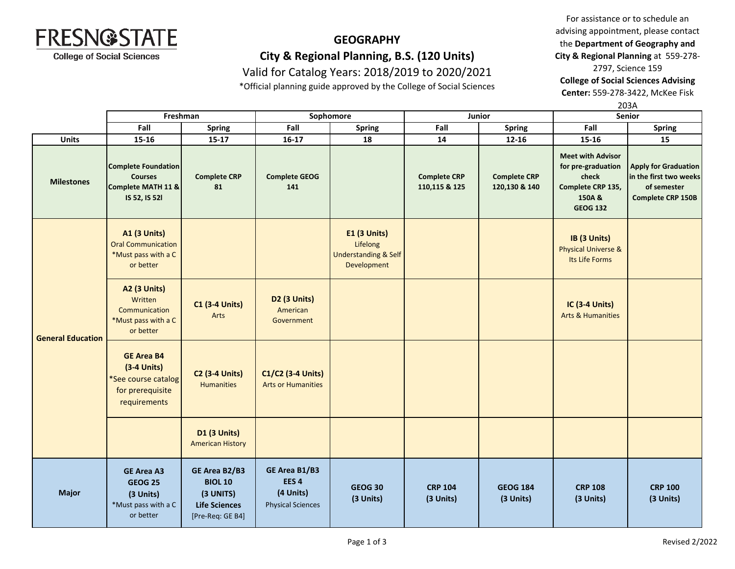

# **GEOGRAPHY City & Regional Planning, B.S. (120 Units)** Valid for Catalog Years: 2018/2019 to 2020/2021

\*Official planning guide approved by the College of Social Sciences

For assistance or to schedule an advising appointment, please contact the **Department of Geography and City & Regional Planning** at 559-278-

2797, Science 159

**College of Social Sciences Advising** 

**Center:** 559-278-3422, McKee Fisk

203A

|                          | Freshman                                                                                      |                                                                                          | Sophomore                                                                  |                                                                                   |                                      | Junior                               | <u>_ , , ,</u><br>Senior                                                                                  |                                                                                                  |
|--------------------------|-----------------------------------------------------------------------------------------------|------------------------------------------------------------------------------------------|----------------------------------------------------------------------------|-----------------------------------------------------------------------------------|--------------------------------------|--------------------------------------|-----------------------------------------------------------------------------------------------------------|--------------------------------------------------------------------------------------------------|
|                          | Fall                                                                                          | <b>Spring</b>                                                                            | Fall                                                                       | <b>Spring</b>                                                                     | Fall                                 | Spring                               | Fall                                                                                                      | <b>Spring</b>                                                                                    |
| <b>Units</b>             | 15-16                                                                                         | $15 - 17$                                                                                | $16-17$                                                                    | 18                                                                                | 14                                   | $12 - 16$                            | 15-16                                                                                                     | 15                                                                                               |
| <b>Milestones</b>        | <b>Complete Foundation</b><br><b>Courses</b><br>Complete MATH 11 &<br>IS 52, IS 521           | <b>Complete CRP</b><br>81                                                                | <b>Complete GEOG</b><br>141                                                |                                                                                   | <b>Complete CRP</b><br>110,115 & 125 | <b>Complete CRP</b><br>120,130 & 140 | <b>Meet with Advisor</b><br>for pre-graduation<br>check<br>Complete CRP 135,<br>150A &<br><b>GEOG 132</b> | <b>Apply for Graduation</b><br>in the first two weeks<br>of semester<br><b>Complete CRP 150B</b> |
| <b>General Education</b> | <b>A1 (3 Units)</b><br><b>Oral Communication</b><br>*Must pass with a C<br>or better          |                                                                                          |                                                                            | <b>E1 (3 Units)</b><br>Lifelong<br><b>Understanding &amp; Self</b><br>Development |                                      |                                      | IB (3 Units)<br><b>Physical Universe &amp;</b><br>Its Life Forms                                          |                                                                                                  |
|                          | <b>A2 (3 Units)</b><br>Written<br>Communication<br>*Must pass with a C<br>or better           | <b>C1 (3-4 Units)</b><br>Arts                                                            | D2 (3 Units)<br>American<br>Government                                     |                                                                                   |                                      |                                      | <b>IC (3-4 Units)</b><br><b>Arts &amp; Humanities</b>                                                     |                                                                                                  |
|                          | <b>GE Area B4</b><br>$(3-4$ Units)<br>*See course catalog<br>for prerequisite<br>requirements | <b>C2 (3-4 Units)</b><br><b>Humanities</b>                                               | C1/C2 (3-4 Units)<br><b>Arts or Humanities</b>                             |                                                                                   |                                      |                                      |                                                                                                           |                                                                                                  |
|                          |                                                                                               | <b>D1 (3 Units)</b><br><b>American History</b>                                           |                                                                            |                                                                                   |                                      |                                      |                                                                                                           |                                                                                                  |
| <b>Major</b>             | <b>GE Area A3</b><br><b>GEOG 25</b><br>(3 Units)<br>*Must pass with a C<br>or better          | GE Area B2/B3<br><b>BIOL 10</b><br>(3 UNITS)<br><b>Life Sciences</b><br>[Pre-Req: GE B4] | GE Area B1/B3<br>EES <sub>4</sub><br>(4 Units)<br><b>Physical Sciences</b> | <b>GEOG 30</b><br>(3 Units)                                                       | <b>CRP 104</b><br>(3 Units)          | <b>GEOG 184</b><br>(3 Units)         | <b>CRP 108</b><br>(3 Units)                                                                               | <b>CRP 100</b><br>(3 Units)                                                                      |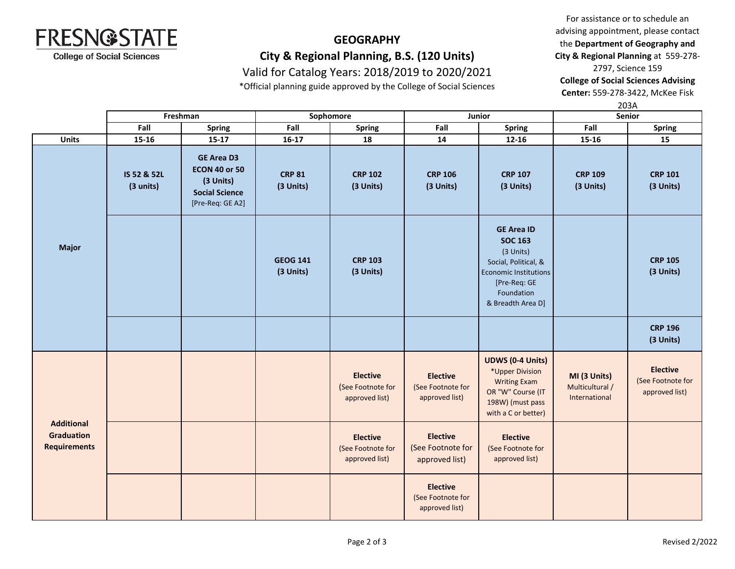

## **GEOGRAPHY City & Regional Planning, B.S. (120 Units)** Valid for Catalog Years: 2018/2019 to 2020/2021

\*Official planning guide approved by the College of Social Sciences

For assistance or to schedule an advising appointment, please contact the **Department of Geography and City & Regional Planning** at 559-278- 2797, Science 159

**College of Social Sciences Advising** 

**Center:** 559-278-3422, McKee Fisk

**Fall Spring Fall Spring Fall Spring Fall Spring Units 15-16 15-17 16-17 18 14 12-16 15-16 15** 203A **Freshman Sophomore Junior Senior IS 52 & 52L (3 units) GE Area D3 ECON 40 or 50 (3 Units) Social Science** [Pre-Req: GE A2] **CRP 81 (3 Units) CRP 102 (3 Units) CRP 106 (3 Units) CRP 107 (3 Units) CRP 109 (3 Units) CRP 101 (3 Units) GEOG 141 (3 Units) CRP 103 (3 Units) GE Area ID SOC 163**  (3 Units) Social, Political, & Economic Institutions [Pre-Req: GE Foundation & Breadth Area D] **CRP 105 (3 Units) CRP 196 (3 Units) Elective** (See Footnote for approved list) **Elective** (See Footnote for approved list) **UDWS (0-4 Units)** \*Upper Division Writing Exam OR "W" Course (IT 198W) (must pass with a C or better) **MI (3 Units)** Multicultural / International **Elective** (See Footnote for approved list) **Elective** (See Footnote for approved list) **Elective** (See Footnote for approved list) **Elective** (See Footnote for approved list) **Elective** (See Footnote for approved list) **Additional Graduation Requirements Major**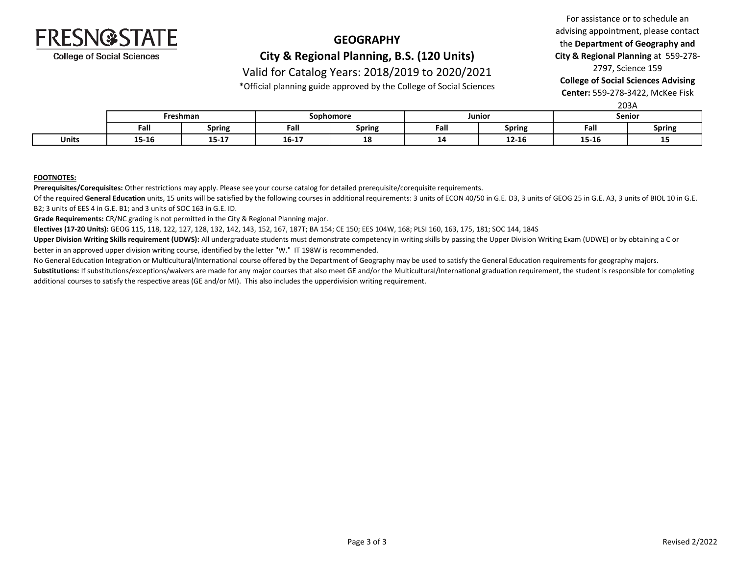

## **GEOGRAPHY City & Regional Planning, B.S. (120 Units)**

### Valid for Catalog Years: 2018/2019 to 2020/2021

\*Official planning guide approved by the College of Social Sciences

For assistance or to schedule an advising appointment, please contact the **Department of Geography and City & Regional Planning** at 559-278- 2797, Science 159

**College of Social Sciences Advising** 

**Center:** 559-278-3422, McKee Fisk

| 203A |
|------|
|------|

|              | Freshman |                        | Sophomore                                                            |                 | Junior    |           | Senior |               |
|--------------|----------|------------------------|----------------------------------------------------------------------|-----------------|-----------|-----------|--------|---------------|
|              | Fal.     | Spring                 | mШ<br>ган                                                            | Spring          | Fall      | Spring    | Fall   | <b>Spring</b> |
| <b>Units</b> | 15-16    | <b>15.17</b><br>15-T V | $\overline{A}$ $\overline{C}$ $\overline{A}$ $\overline{C}$<br>16-17 | <b>10</b><br>TО | . .<br>-- | $12 - 16$ | 15-16  | --            |

#### **FOOTNOTES:**

**Prerequisites/Corequisites:** Other restrictions may apply. Please see your course catalog for detailed prerequisite/corequisite requirements.

Of the required General Education units, 15 units will be satisfied by the following courses in additional requirements: 3 units of ECON 40/50 in G.E. D3, 3 units of GEOG 25 in G.E. A3, 3 units of BIOL 10 in G.E. B2; 3 units of EES 4 in G.E. B1; and 3 units of SOC 163 in G.E. ID.

**Grade Requirements:** CR/NC grading is not permitted in the City & Regional Planning major.

**Electives (17-20 Units):** GEOG 115, 118, 122, 127, 128, 132, 142, 143, 152, 167, 187T; BA 154; CE 150; EES 104W, 168; PLSI 160, 163, 175, 181; SOC 144, 184S

Upper Division Writing Skills requirement (UDWS): All undergraduate students must demonstrate competency in writing skills by passing the Upper Division Writing Exam (UDWE) or by obtaining a C or better in an approved upper division writing course, identified by the letter "W." IT 198W is recommended.

No General Education Integration or Multicultural/International course offered by the Department of Geography may be used to satisfy the General Education requirements for geography majors.

Substitutions: If substitutions/exceptions/waivers are made for any major courses that also meet GE and/or the Multicultural/International graduation requirement, the student is responsible for completing additional courses to satisfy the respective areas (GE and/or MI). This also includes the upperdivision writing requirement.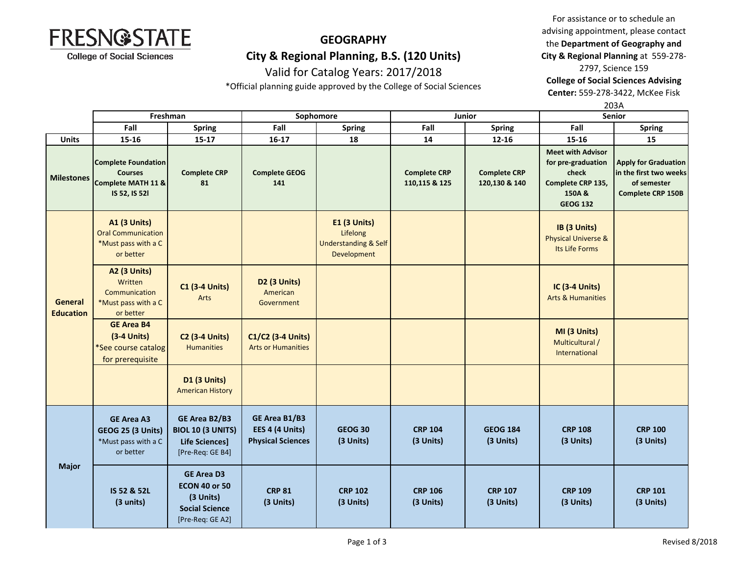

# **GEOGRAPHY**

**City & Regional Planning, B.S. (120 Units)** Valid for Catalog Years: 2017/2018

For assistance or to schedule an advising appointment, please contact the **Department of Geography and City & Regional Planning** at 559-278-

2797, Science 159 **College of Social Sciences Advising Center:** 559-278-3422, McKee Fisk

\*Official planning guide approved by the College of Social Sciences

|                             |                                                                                      |                                                                                                     | 203A                                                         |                                                                            |                                      |                                      |                                                                                                           |                                                                                                  |
|-----------------------------|--------------------------------------------------------------------------------------|-----------------------------------------------------------------------------------------------------|--------------------------------------------------------------|----------------------------------------------------------------------------|--------------------------------------|--------------------------------------|-----------------------------------------------------------------------------------------------------------|--------------------------------------------------------------------------------------------------|
|                             | Freshman                                                                             |                                                                                                     | Sophomore                                                    |                                                                            |                                      | Junior                               | Senior                                                                                                    |                                                                                                  |
|                             | Fall                                                                                 | <b>Spring</b>                                                                                       | Fall                                                         | <b>Spring</b>                                                              | Fall                                 | <b>Spring</b>                        | Fall                                                                                                      | <b>Spring</b>                                                                                    |
| <b>Units</b>                | 15-16                                                                                | $15 - 17$                                                                                           | $16-17$                                                      | 18                                                                         | 14                                   | 12-16                                | 15-16                                                                                                     | 15                                                                                               |
| <b>Milestones</b>           | <b>Complete Foundation</b><br><b>Courses</b><br>Complete MATH 11 &<br>IS 52, IS 521  | <b>Complete CRP</b><br>81                                                                           | <b>Complete GEOG</b><br>141                                  |                                                                            | <b>Complete CRP</b><br>110,115 & 125 | <b>Complete CRP</b><br>120,130 & 140 | <b>Meet with Advisor</b><br>for pre-graduation<br>check<br>Complete CRP 135,<br>150A &<br><b>GEOG 132</b> | <b>Apply for Graduation</b><br>in the first two weeks<br>of semester<br><b>Complete CRP 150B</b> |
| General<br><b>Education</b> | <b>A1 (3 Units)</b><br><b>Oral Communication</b><br>*Must pass with a C<br>or better |                                                                                                     |                                                              | E1 (3 Units)<br>Lifelong<br><b>Understanding &amp; Self</b><br>Development |                                      |                                      | IB (3 Units)<br><b>Physical Universe &amp;</b><br>Its Life Forms                                          |                                                                                                  |
|                             | <b>A2 (3 Units)</b><br>Written<br>Communication<br>*Must pass with a C<br>or better  | <b>C1 (3-4 Units)</b><br>Arts                                                                       | D2 (3 Units)<br>American<br>Government                       |                                                                            |                                      |                                      | IC (3-4 Units)<br><b>Arts &amp; Humanities</b>                                                            |                                                                                                  |
|                             | <b>GE Area B4</b><br>$(3-4$ Units)<br>*See course catalog<br>for prerequisite        | <b>C2 (3-4 Units)</b><br><b>Humanities</b>                                                          | C1/C2 (3-4 Units)<br><b>Arts or Humanities</b>               |                                                                            |                                      |                                      | MI (3 Units)<br>Multicultural /<br>International                                                          |                                                                                                  |
|                             |                                                                                      | D1 (3 Units)<br><b>American History</b>                                                             |                                                              |                                                                            |                                      |                                      |                                                                                                           |                                                                                                  |
| <b>Major</b>                | <b>GE Area A3</b><br><b>GEOG 25 (3 Units)</b><br>*Must pass with a C<br>or better    | GE Area B2/B3<br><b>BIOL 10 (3 UNITS)</b><br><b>Life Sciences]</b><br>[Pre-Req: GE B4]              | GE Area B1/B3<br>EES 4 (4 Units)<br><b>Physical Sciences</b> | <b>GEOG 30</b><br>(3 Units)                                                | <b>CRP 104</b><br>(3 Units)          | <b>GEOG 184</b><br>(3 Units)         | <b>CRP 108</b><br>(3 Units)                                                                               | <b>CRP 100</b><br>(3 Units)                                                                      |
|                             | IS 52 & 52L<br>(3 units)                                                             | <b>GE Area D3</b><br><b>ECON 40 or 50</b><br>(3 Units)<br><b>Social Science</b><br>[Pre-Req: GE A2] | <b>CRP 81</b><br>(3 Units)                                   | <b>CRP 102</b><br>(3 Units)                                                | <b>CRP 106</b><br>(3 Units)          | <b>CRP 107</b><br>(3 Units)          | <b>CRP 109</b><br>(3 Units)                                                                               | <b>CRP 101</b><br>(3 Units)                                                                      |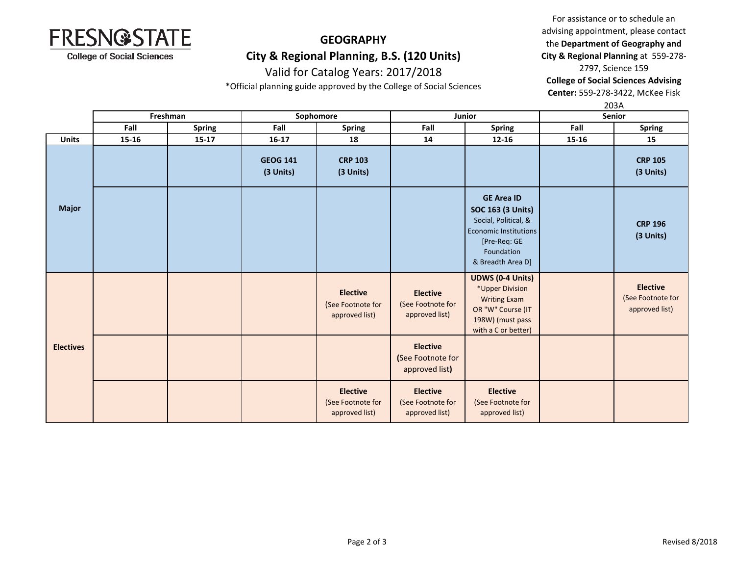

# **GEOGRAPHY**

**City & Regional Planning, B.S. (120 Units)** Valid for Catalog Years: 2017/2018

\*Official planning guide approved by the College of Social Sciences

advising appointment, please contact the **Department of Geography and City & Regional Planning** at 559-278- 2797, Science 159

For assistance or to schedule an

**College of Social Sciences Advising** 

**Center:** 559-278-3422, McKee Fisk

|                  |          |               | 203A                         |                                                        |                                                        |                                                                                                                                                          |       |                                                        |
|------------------|----------|---------------|------------------------------|--------------------------------------------------------|--------------------------------------------------------|----------------------------------------------------------------------------------------------------------------------------------------------------------|-------|--------------------------------------------------------|
|                  | Freshman |               |                              | Sophomore                                              | Junior                                                 |                                                                                                                                                          |       | <b>Senior</b>                                          |
|                  | Fall     | <b>Spring</b> | Fall                         | <b>Spring</b>                                          | Fall                                                   | <b>Spring</b>                                                                                                                                            | Fall  | <b>Spring</b>                                          |
| <b>Units</b>     | 15-16    | $15 - 17$     | $16 - 17$                    | 18                                                     | 14                                                     | $12 - 16$                                                                                                                                                | 15-16 | 15                                                     |
| <b>Major</b>     |          |               | <b>GEOG 141</b><br>(3 Units) | <b>CRP 103</b><br>(3 Units)                            |                                                        |                                                                                                                                                          |       | <b>CRP 105</b><br>(3 Units)                            |
|                  |          |               |                              |                                                        |                                                        | <b>GE Area ID</b><br><b>SOC 163 (3 Units)</b><br>Social, Political, &<br><b>Economic Institutions</b><br>[Pre-Req: GE<br>Foundation<br>& Breadth Area D] |       | <b>CRP 196</b><br>(3 Units)                            |
| <b>Electives</b> |          |               |                              | <b>Elective</b><br>(See Footnote for<br>approved list) | <b>Elective</b><br>(See Footnote for<br>approved list) | <b>UDWS (0-4 Units)</b><br>*Upper Division<br><b>Writing Exam</b><br>OR "W" Course (IT<br>198W) (must pass<br>with a C or better)                        |       | <b>Elective</b><br>(See Footnote for<br>approved list) |
|                  |          |               |                              |                                                        | <b>Elective</b><br>(See Footnote for<br>approved list) |                                                                                                                                                          |       |                                                        |
|                  |          |               |                              | <b>Elective</b><br>(See Footnote for<br>approved list) | <b>Elective</b><br>(See Footnote for<br>approved list) | <b>Elective</b><br>(See Footnote for<br>approved list)                                                                                                   |       |                                                        |